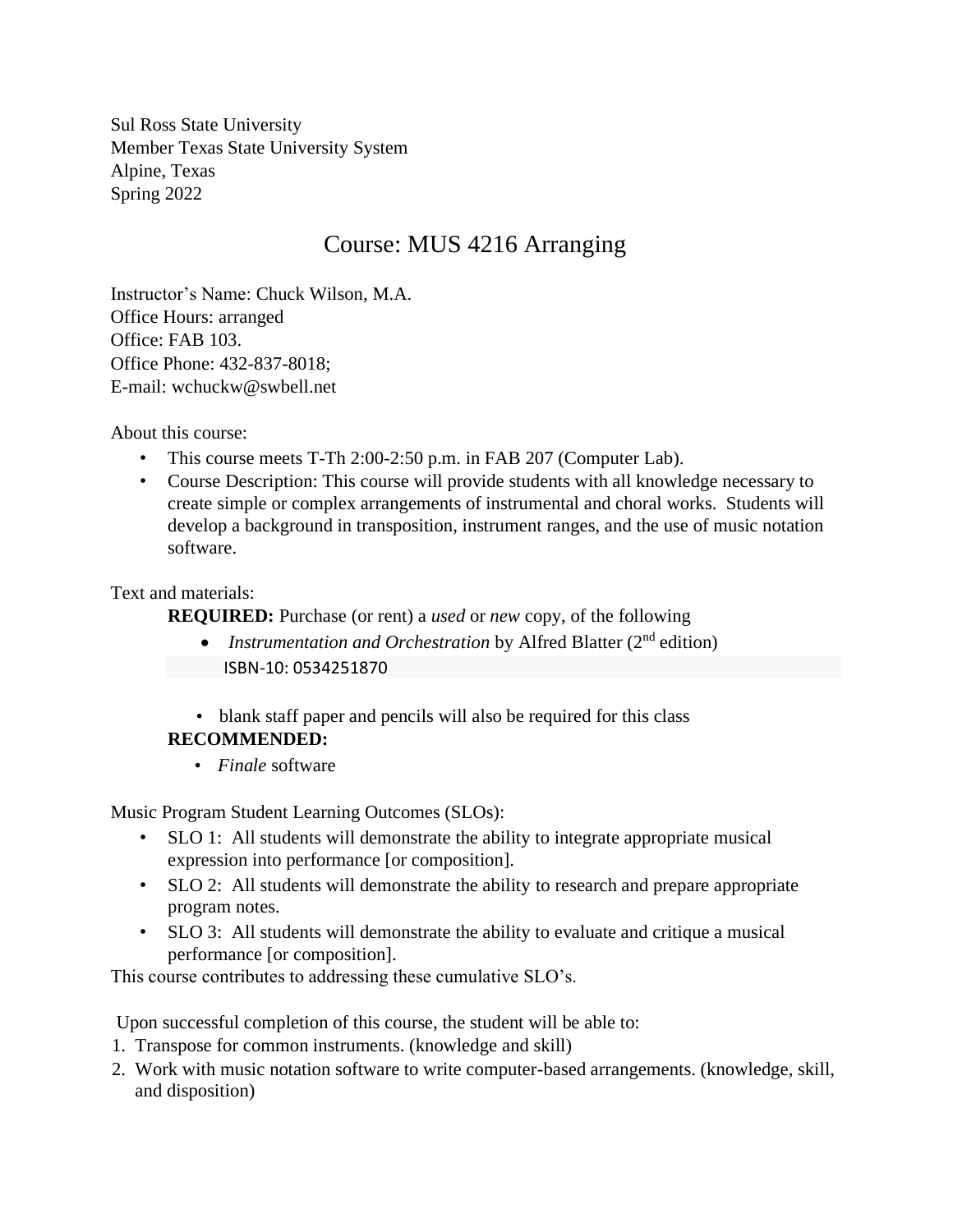Sul Ross State University Member Texas State University System Alpine, Texas Spring 2022

# Course: MUS 4216 Arranging

Instructor's Name: Chuck Wilson, M.A. Office Hours: arranged Office: FAB 103. Office Phone: 432-837-8018; E-mail: wchuckw@swbell.net

About this course:

- This course meets T-Th 2:00-2:50 p.m. in FAB 207 (Computer Lab).
- Course Description: This course will provide students with all knowledge necessary to create simple or complex arrangements of instrumental and choral works. Students will develop a background in transposition, instrument ranges, and the use of music notation software.

### Text and materials:

**REQUIRED:** Purchase (or rent) a *used* or *new* copy, of the following

- *Instrumentation and Orchestration* by Alfred Blatter (2<sup>nd</sup> edition) ISBN-10: 0534251870
- blank staff paper and pencils will also be required for this class

### **RECOMMENDED:**

• *Finale* software

Music Program Student Learning Outcomes (SLOs):

- SLO 1: All students will demonstrate the ability to integrate appropriate musical expression into performance [or composition].
- SLO 2: All students will demonstrate the ability to research and prepare appropriate program notes.
- SLO 3: All students will demonstrate the ability to evaluate and critique a musical performance [or composition].

This course contributes to addressing these cumulative SLO's.

Upon successful completion of this course, the student will be able to:

- 1. Transpose for common instruments. (knowledge and skill)
- 2. Work with music notation software to write computer-based arrangements. (knowledge, skill, and disposition)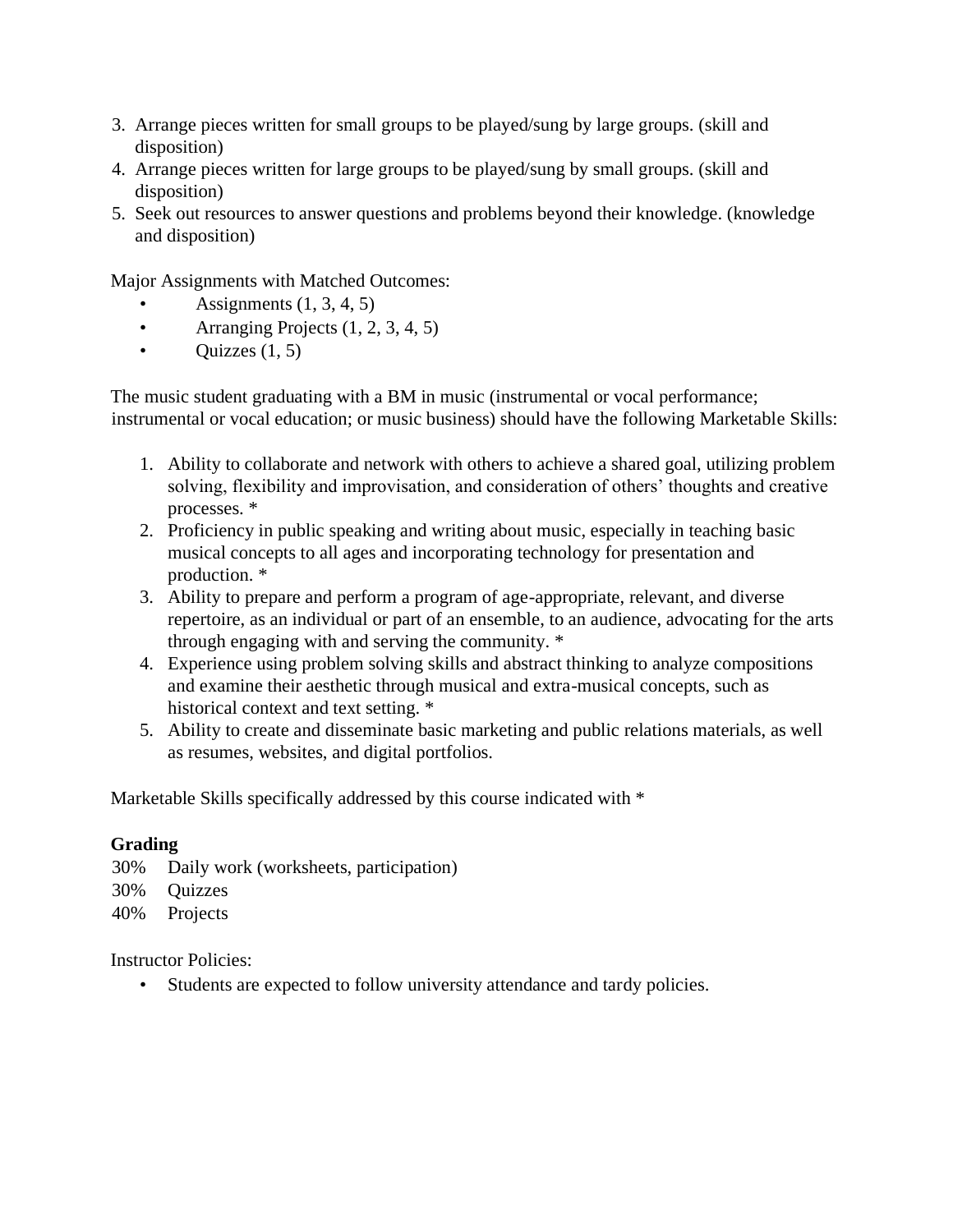- 3. Arrange pieces written for small groups to be played/sung by large groups. (skill and disposition)
- 4. Arrange pieces written for large groups to be played/sung by small groups. (skill and disposition)
- 5. Seek out resources to answer questions and problems beyond their knowledge. (knowledge and disposition)

Major Assignments with Matched Outcomes:

- Assignments  $(1, 3, 4, 5)$
- Arranging Projects  $(1, 2, 3, 4, 5)$
- Quizzes  $(1, 5)$

The music student graduating with a BM in music (instrumental or vocal performance; instrumental or vocal education; or music business) should have the following Marketable Skills:

- 1. Ability to collaborate and network with others to achieve a shared goal, utilizing problem solving, flexibility and improvisation, and consideration of others' thoughts and creative processes. \*
- 2. Proficiency in public speaking and writing about music, especially in teaching basic musical concepts to all ages and incorporating technology for presentation and production. \*
- 3. Ability to prepare and perform a program of age-appropriate, relevant, and diverse repertoire, as an individual or part of an ensemble, to an audience, advocating for the arts through engaging with and serving the community. \*
- 4. Experience using problem solving skills and abstract thinking to analyze compositions and examine their aesthetic through musical and extra-musical concepts, such as historical context and text setting. \*
- 5. Ability to create and disseminate basic marketing and public relations materials, as well as resumes, websites, and digital portfolios.

Marketable Skills specifically addressed by this course indicated with \*

### **Grading**

- 30% Daily work (worksheets, participation)
- 30% Quizzes
- 40% Projects

Instructor Policies:

Students are expected to follow university attendance and tardy policies.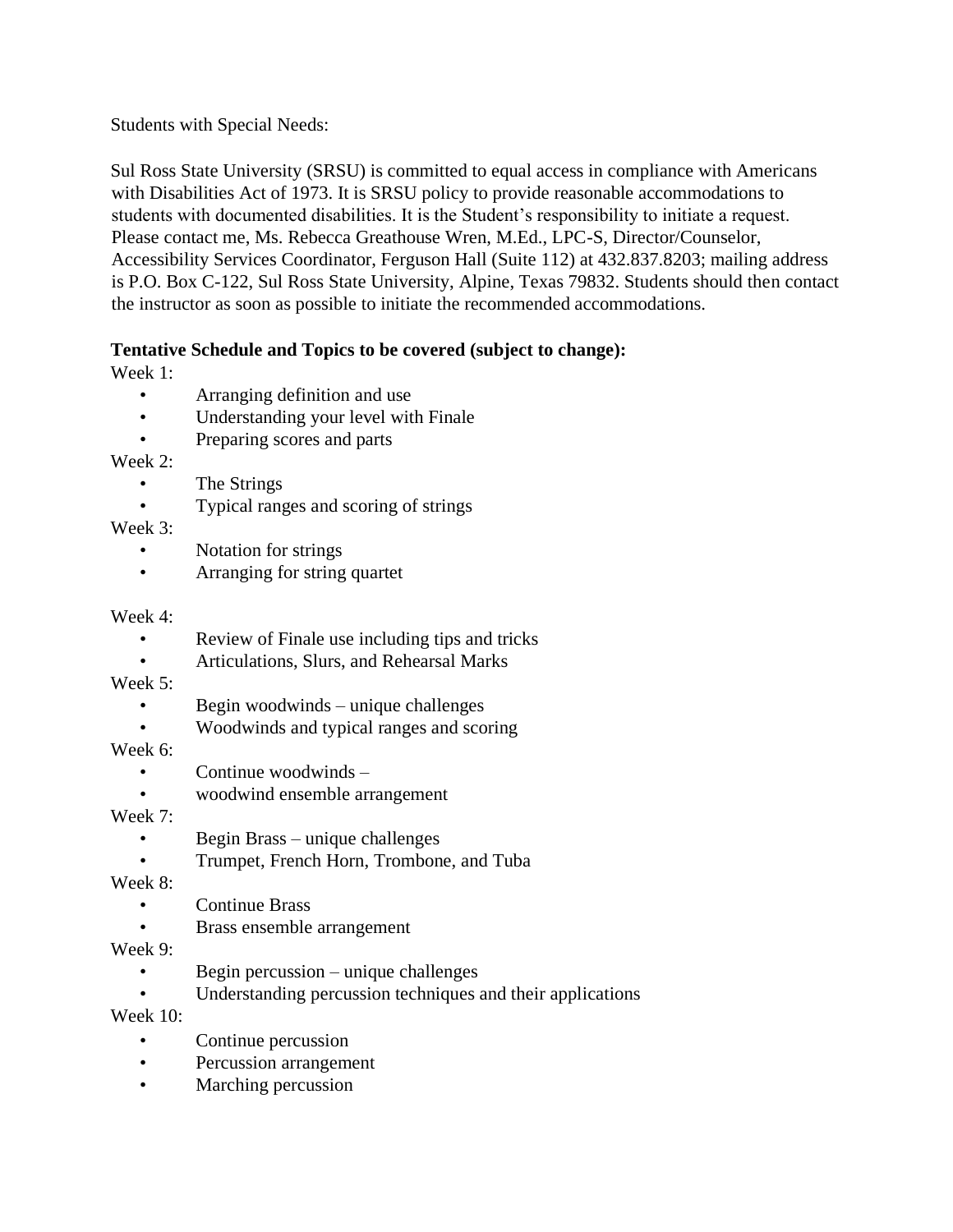Students with Special Needs:

Sul Ross State University (SRSU) is committed to equal access in compliance with Americans with Disabilities Act of 1973. It is SRSU policy to provide reasonable accommodations to students with documented disabilities. It is the Student's responsibility to initiate a request. Please contact me, Ms. Rebecca Greathouse Wren, M.Ed., LPC-S, Director/Counselor, Accessibility Services Coordinator, Ferguson Hall (Suite 112) at 432.837.8203; mailing address is P.O. Box C-122, Sul Ross State University, Alpine, Texas 79832. Students should then contact the instructor as soon as possible to initiate the recommended accommodations.

### **Tentative Schedule and Topics to be covered (subject to change):**

Week 1:

- Arranging definition and use
- Understanding your level with Finale
- Preparing scores and parts

Week 2:

- The Strings
- Typical ranges and scoring of strings

Week 3:

- Notation for strings
- Arranging for string quartet

## Week 4:

- Review of Finale use including tips and tricks
- Articulations, Slurs, and Rehearsal Marks

Week 5:

- Begin woodwinds unique challenges
- Woodwinds and typical ranges and scoring

Week 6:

- Continue woodwinds –
- woodwind ensemble arrangement

Week 7:

- Begin Brass unique challenges
- Trumpet, French Horn, Trombone, and Tuba

Week 8:

- Continue Brass
- Brass ensemble arrangement

Week 9:

- Begin percussion unique challenges
- Understanding percussion techniques and their applications

Week 10:

- Continue percussion
- Percussion arrangement
- Marching percussion